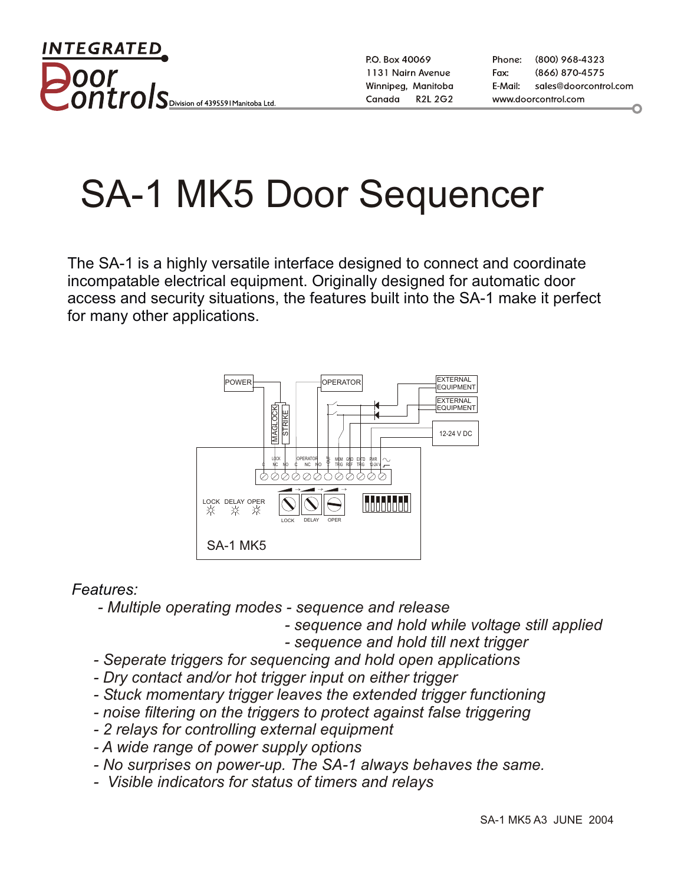INTEGRATED <u>ntrol</u> Division of 439559 I Manitoba Ltd

P.O. Box 40069 1131 Nairn Avenue Winnipeg, Manitoba **R2L 2G2** Canada

Phone: (800) 968-4323 (866) 870-4575 Fax: E-Mail: sales@doorcontrol.com www.doorcontrol.com

## SA-1 MK5 Door Sequencer

The SA-1 is a highly versatile interface designed to connect and coordinate incompatable electrical equipment. Originally designed for automatic door access and security situations, the features built into the SA-1 make it perfect for many other applications.



## *Features:*

- *Multiple operating modes sequence and release*
	- *sequence and hold while voltage still applied*
	- *sequence and hold till next trigger*
- *Seperate triggers for sequencing and hold open applications*
- *Dry contact and/or hot trigger input on either trigger*
- *Stuck momentary trigger leaves the extended trigger functioning*
- *noise filtering on the triggers to protect against false triggering*
- *2 relays for controlling external equipment*
- *A wide range of power supply options*
- *No surprises on power-up. The SA-1 always behaves the same.*
- *Visible indicators for status of timers and relays*